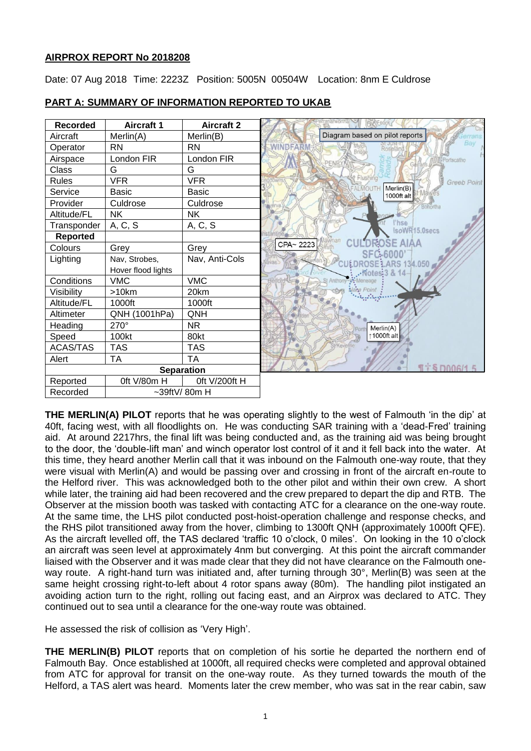# **AIRPROX REPORT No 2018208**

Date: 07 Aug 2018 Time: 2223Z Position: 5005N 00504W Location: 8nm E Culdrose



## **PART A: SUMMARY OF INFORMATION REPORTED TO UKAB**

**THE MERLIN(A) PILOT** reports that he was operating slightly to the west of Falmouth 'in the dip' at 40ft, facing west, with all floodlights on. He was conducting SAR training with a 'dead-Fred' training aid. At around 2217hrs, the final lift was being conducted and, as the training aid was being brought to the door, the 'double-lift man' and winch operator lost control of it and it fell back into the water. At this time, they heard another Merlin call that it was inbound on the Falmouth one-way route, that they were visual with Merlin(A) and would be passing over and crossing in front of the aircraft en-route to the Helford river. This was acknowledged both to the other pilot and within their own crew. A short while later, the training aid had been recovered and the crew prepared to depart the dip and RTB. The Observer at the mission booth was tasked with contacting ATC for a clearance on the one-way route. At the same time, the LHS pilot conducted post-hoist-operation challenge and response checks, and the RHS pilot transitioned away from the hover, climbing to 1300ft QNH (approximately 1000ft QFE). As the aircraft levelled off, the TAS declared 'traffic 10 o'clock, 0 miles'. On looking in the 10 o'clock an aircraft was seen level at approximately 4nm but converging. At this point the aircraft commander liaised with the Observer and it was made clear that they did not have clearance on the Falmouth oneway route. A right-hand turn was initiated and, after turning through 30°, Merlin(B) was seen at the same height crossing right-to-left about 4 rotor spans away (80m). The handling pilot instigated an avoiding action turn to the right, rolling out facing east, and an Airprox was declared to ATC. They continued out to sea until a clearance for the one-way route was obtained.

He assessed the risk of collision as 'Very High'.

**THE MERLIN(B) PILOT** reports that on completion of his sortie he departed the northern end of Falmouth Bay. Once established at 1000ft, all required checks were completed and approval obtained from ATC for approval for transit on the one-way route. As they turned towards the mouth of the Helford, a TAS alert was heard. Moments later the crew member, who was sat in the rear cabin, saw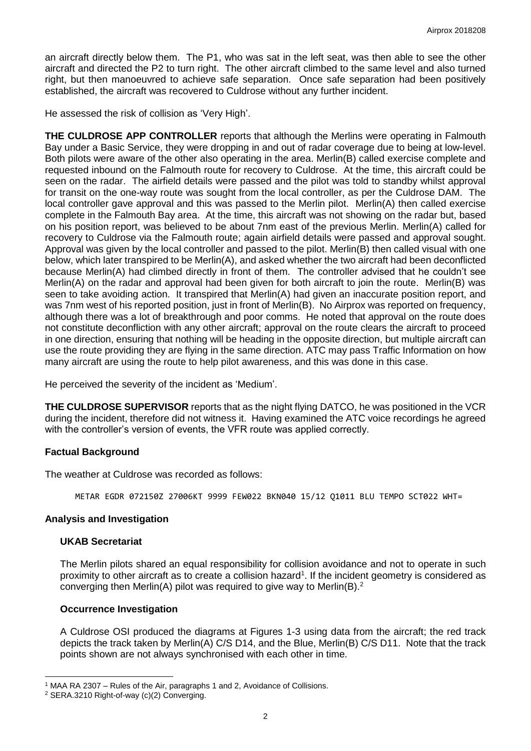an aircraft directly below them. The P1, who was sat in the left seat, was then able to see the other aircraft and directed the P2 to turn right. The other aircraft climbed to the same level and also turned right, but then manoeuvred to achieve safe separation. Once safe separation had been positively established, the aircraft was recovered to Culdrose without any further incident.

He assessed the risk of collision as 'Very High'.

**THE CULDROSE APP CONTROLLER** reports that although the Merlins were operating in Falmouth Bay under a Basic Service, they were dropping in and out of radar coverage due to being at low-level. Both pilots were aware of the other also operating in the area. Merlin(B) called exercise complete and requested inbound on the Falmouth route for recovery to Culdrose. At the time, this aircraft could be seen on the radar. The airfield details were passed and the pilot was told to standby whilst approval for transit on the one-way route was sought from the local controller, as per the Culdrose DAM. The local controller gave approval and this was passed to the Merlin pilot. Merlin(A) then called exercise complete in the Falmouth Bay area. At the time, this aircraft was not showing on the radar but, based on his position report, was believed to be about 7nm east of the previous Merlin. Merlin(A) called for recovery to Culdrose via the Falmouth route; again airfield details were passed and approval sought. Approval was given by the local controller and passed to the pilot. Merlin(B) then called visual with one below, which later transpired to be Merlin(A), and asked whether the two aircraft had been deconflicted because Merlin(A) had climbed directly in front of them. The controller advised that he couldn't see Merlin(A) on the radar and approval had been given for both aircraft to join the route. Merlin(B) was seen to take avoiding action. It transpired that Merlin(A) had given an inaccurate position report, and was 7nm west of his reported position, just in front of Merlin(B). No Airprox was reported on frequency, although there was a lot of breakthrough and poor comms. He noted that approval on the route does not constitute deconfliction with any other aircraft; approval on the route clears the aircraft to proceed in one direction, ensuring that nothing will be heading in the opposite direction, but multiple aircraft can use the route providing they are flying in the same direction. ATC may pass Traffic Information on how many aircraft are using the route to help pilot awareness, and this was done in this case.

He perceived the severity of the incident as 'Medium'.

**THE CULDROSE SUPERVISOR** reports that as the night flying DATCO, he was positioned in the VCR during the incident, therefore did not witness it. Having examined the ATC voice recordings he agreed with the controller's version of events, the VFR route was applied correctly.

# **Factual Background**

The weather at Culdrose was recorded as follows:

METAR EGDR 072150Z 27006KT 9999 FEW022 BKN040 15/12 Q1011 BLU TEMPO SCT022 WHT=

#### **Analysis and Investigation**

### **UKAB Secretariat**

 $\overline{\phantom{a}}$ 

The Merlin pilots shared an equal responsibility for collision avoidance and not to operate in such proximity to other aircraft as to create a collision hazard<sup>1</sup>. If the incident geometry is considered as converging then Merlin(A) pilot was required to give way to Merlin(B).<sup>2</sup>

#### **Occurrence Investigation**

A Culdrose OSI produced the diagrams at Figures 1-3 using data from the aircraft; the red track depicts the track taken by Merlin(A) C/S D14, and the Blue, Merlin(B) C/S D11. Note that the track points shown are not always synchronised with each other in time.

<sup>&</sup>lt;sup>1</sup> MAA RA 2307 – Rules of the Air, paragraphs 1 and 2, Avoidance of Collisions.

<sup>2</sup> SERA.3210 Right-of-way (c)(2) Converging.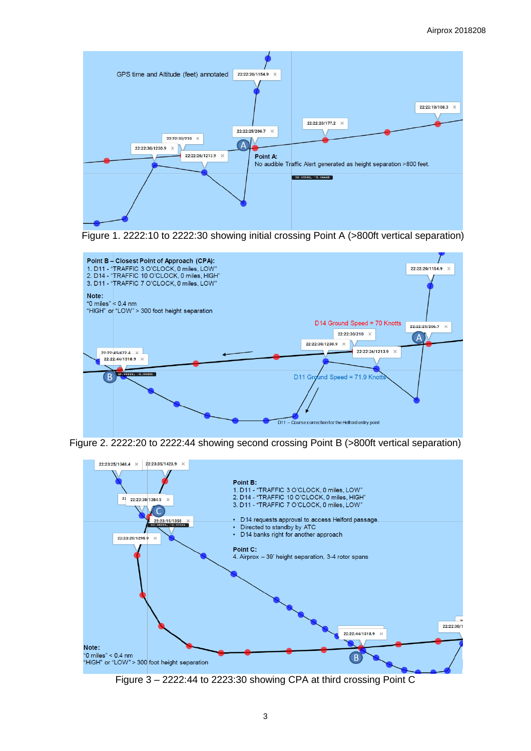

Figure 1. 2222:10 to 2222:30 showing initial crossing Point A (>800ft vertical separation)



Figure 2. 2222:20 to 2222:44 showing second crossing Point B (>800ft vertical separation)



Figure 3 – 2222:44 to 2223:30 showing CPA at third crossing Point C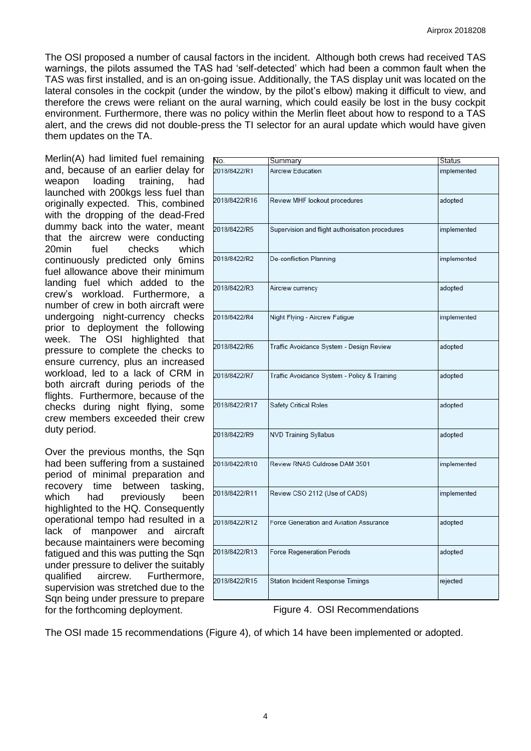The OSI proposed a number of causal factors in the incident. Although both crews had received TAS warnings, the pilots assumed the TAS had 'self-detected' which had been a common fault when the TAS was first installed, and is an on-going issue. Additionally, the TAS display unit was located on the lateral consoles in the cockpit (under the window, by the pilot's elbow) making it difficult to view, and therefore the crews were reliant on the aural warning, which could easily be lost in the busy cockpit environment. Furthermore, there was no policy within the Merlin fleet about how to respond to a TAS alert, and the crews did not double-press the TI selector for an aural update which would have given them updates on the TA.

Merlin(A) had limited fuel remaining and, because of an earlier delay for weapon loading training, had launched with 200kgs less fuel than originally expected. This, combined with the dropping of the dead-Fred dummy back into the water, meant that the aircrew were conducting 20min fuel checks which continuously predicted only 6mins fuel allowance above their minimum landing fuel which added to the crew's workload. Furthermore, a number of crew in both aircraft were undergoing night-currency checks prior to deployment the following week. The OSI highlighted that pressure to complete the checks to ensure currency, plus an increased workload, led to a lack of CRM in both aircraft during periods of the flights. Furthermore, because of the checks during night flying, some crew members exceeded their crew duty period.

Over the previous months, the Sqn had been suffering from a sustained period of minimal preparation and recovery time between tasking, which had previously been highlighted to the HQ. Consequently operational tempo had resulted in a lack of manpower and aircraft because maintainers were becoming fatigued and this was putting the Sqn under pressure to deliver the suitably qualified aircrew. Furthermore, supervision was stretched due to the Sqn being under pressure to prepare for the forthcoming deployment.

| No.           | Summary                                         | <b>Status</b> |
|---------------|-------------------------------------------------|---------------|
| 2018/8422/R1  | <b>Aircrew Education</b>                        | implemented   |
| 2018/8422/R16 | Review MHF lookout procedures                   | adopted       |
| 2018/8422/R5  | Supervision and flight authorisation procedures | implemented   |
| 2018/8422/R2  | <b>De-confliction Planning</b>                  | implemented   |
| 2018/8422/R3  | Aircrew currency                                | adopted       |
| 2018/8422/R4  | Night Flying - Aircrew Fatigue                  | implemented   |
| 2018/8422/R6  | Traffic Avoidance System - Design Review        | adopted       |
| 2018/8422/R7  | Traffic Avoidance System - Policy & Training    | adopted       |
| 2018/8422/R17 | <b>Safety Critical Roles</b>                    | adopted       |
| 2018/8422/R9  | <b>NVD Training Syllabus</b>                    | adopted       |
| 2018/8422/R10 | Review RNAS Culdrose DAM 3501                   | implemented   |
| 2018/8422/R11 | Review CSO 2112 (Use of CADS)                   | implemented   |
| 2018/8422/R12 | <b>Force Generation and Aviation Assurance</b>  | adopted       |
| 2018/8422/R13 | <b>Force Regeneration Periods</b>               | adopted       |
| 2018/8422/R15 | <b>Station Incident Response Timings</b>        | rejected      |

Figure 4. OSI Recommendations

The OSI made 15 recommendations (Figure 4), of which 14 have been implemented or adopted.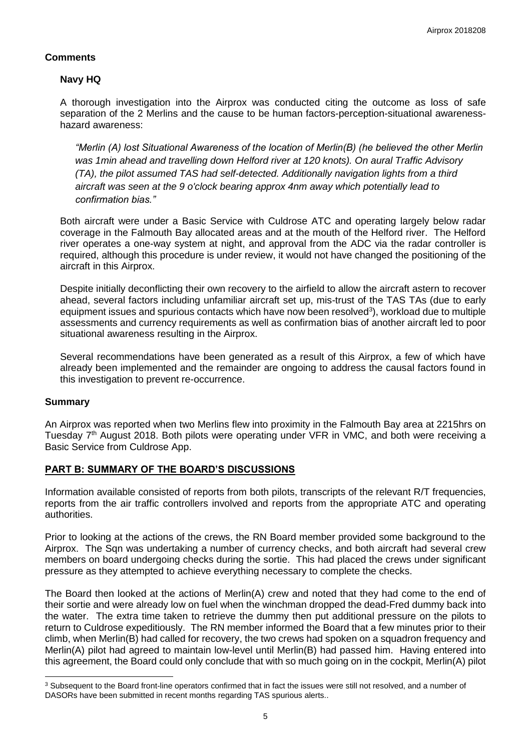# **Comments**

# **Navy HQ**

A thorough investigation into the Airprox was conducted citing the outcome as loss of safe separation of the 2 Merlins and the cause to be human factors-perception-situational awarenesshazard awareness:

*"Merlin (A) lost Situational Awareness of the location of Merlin(B) (he believed the other Merlin was 1min ahead and travelling down Helford river at 120 knots). On aural Traffic Advisory (TA), the pilot assumed TAS had self-detected. Additionally navigation lights from a third aircraft was seen at the 9 o'clock bearing approx 4nm away which potentially lead to confirmation bias."*

Both aircraft were under a Basic Service with Culdrose ATC and operating largely below radar coverage in the Falmouth Bay allocated areas and at the mouth of the Helford river. The Helford river operates a one-way system at night, and approval from the ADC via the radar controller is required, although this procedure is under review, it would not have changed the positioning of the aircraft in this Airprox.

Despite initially deconflicting their own recovery to the airfield to allow the aircraft astern to recover ahead, several factors including unfamiliar aircraft set up, mis-trust of the TAS TAs (due to early equipment issues and spurious contacts which have now been resolved<sup>3</sup>), workload due to multiple assessments and currency requirements as well as confirmation bias of another aircraft led to poor situational awareness resulting in the Airprox.

Several recommendations have been generated as a result of this Airprox, a few of which have already been implemented and the remainder are ongoing to address the causal factors found in this investigation to prevent re-occurrence.

#### **Summary**

An Airprox was reported when two Merlins flew into proximity in the Falmouth Bay area at 2215hrs on Tuesday 7<sup>th</sup> August 2018. Both pilots were operating under VFR in VMC, and both were receiving a Basic Service from Culdrose App.

# **PART B: SUMMARY OF THE BOARD'S DISCUSSIONS**

Information available consisted of reports from both pilots, transcripts of the relevant R/T frequencies, reports from the air traffic controllers involved and reports from the appropriate ATC and operating authorities.

Prior to looking at the actions of the crews, the RN Board member provided some background to the Airprox. The Sqn was undertaking a number of currency checks, and both aircraft had several crew members on board undergoing checks during the sortie. This had placed the crews under significant pressure as they attempted to achieve everything necessary to complete the checks.

The Board then looked at the actions of Merlin(A) crew and noted that they had come to the end of their sortie and were already low on fuel when the winchman dropped the dead-Fred dummy back into the water. The extra time taken to retrieve the dummy then put additional pressure on the pilots to return to Culdrose expeditiously. The RN member informed the Board that a few minutes prior to their climb, when Merlin(B) had called for recovery, the two crews had spoken on a squadron frequency and Merlin(A) pilot had agreed to maintain low-level until Merlin(B) had passed him. Having entered into this agreement, the Board could only conclude that with so much going on in the cockpit, Merlin(A) pilot

 $\overline{\phantom{a}}$ <sup>3</sup> Subsequent to the Board front-line operators confirmed that in fact the issues were still not resolved, and a number of DASORs have been submitted in recent months regarding TAS spurious alerts..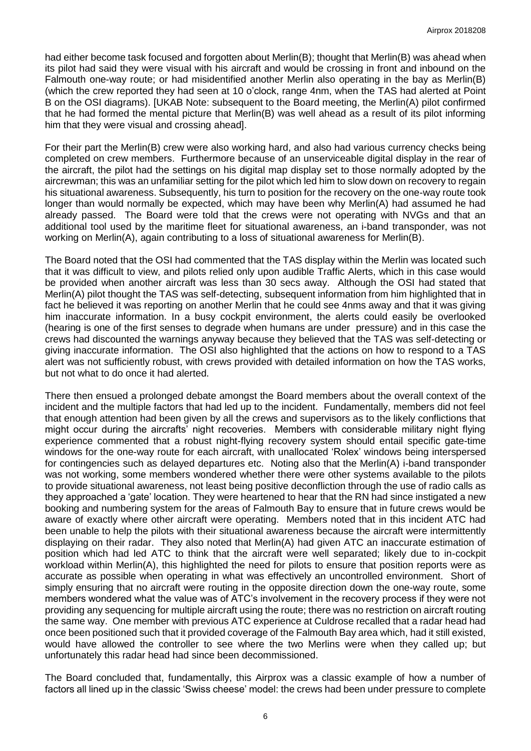had either become task focused and forgotten about Merlin(B); thought that Merlin(B) was ahead when its pilot had said they were visual with his aircraft and would be crossing in front and inbound on the Falmouth one-way route; or had misidentified another Merlin also operating in the bay as Merlin(B) (which the crew reported they had seen at 10 o'clock, range 4nm, when the TAS had alerted at Point B on the OSI diagrams). [UKAB Note: subsequent to the Board meeting, the Merlin(A) pilot confirmed that he had formed the mental picture that Merlin(B) was well ahead as a result of its pilot informing him that they were visual and crossing ahead].

For their part the Merlin(B) crew were also working hard, and also had various currency checks being completed on crew members. Furthermore because of an unserviceable digital display in the rear of the aircraft, the pilot had the settings on his digital map display set to those normally adopted by the aircrewman; this was an unfamiliar setting for the pilot which led him to slow down on recovery to regain his situational awareness. Subsequently, his turn to position for the recovery on the one-way route took longer than would normally be expected, which may have been why Merlin(A) had assumed he had already passed. The Board were told that the crews were not operating with NVGs and that an additional tool used by the maritime fleet for situational awareness, an i-band transponder, was not working on Merlin(A), again contributing to a loss of situational awareness for Merlin(B).

The Board noted that the OSI had commented that the TAS display within the Merlin was located such that it was difficult to view, and pilots relied only upon audible Traffic Alerts, which in this case would be provided when another aircraft was less than 30 secs away. Although the OSI had stated that Merlin(A) pilot thought the TAS was self-detecting, subsequent information from him highlighted that in fact he believed it was reporting on another Merlin that he could see 4nms away and that it was giving him inaccurate information. In a busy cockpit environment, the alerts could easily be overlooked (hearing is one of the first senses to degrade when humans are under pressure) and in this case the crews had discounted the warnings anyway because they believed that the TAS was self-detecting or giving inaccurate information. The OSI also highlighted that the actions on how to respond to a TAS alert was not sufficiently robust, with crews provided with detailed information on how the TAS works, but not what to do once it had alerted.

There then ensued a prolonged debate amongst the Board members about the overall context of the incident and the multiple factors that had led up to the incident. Fundamentally, members did not feel that enough attention had been given by all the crews and supervisors as to the likely conflictions that might occur during the aircrafts' night recoveries. Members with considerable military night flying experience commented that a robust night-flying recovery system should entail specific gate-time windows for the one-way route for each aircraft, with unallocated 'Rolex' windows being interspersed for contingencies such as delayed departures etc. Noting also that the Merlin(A) i-band transponder was not working, some members wondered whether there were other systems available to the pilots to provide situational awareness, not least being positive deconfliction through the use of radio calls as they approached a 'gate' location. They were heartened to hear that the RN had since instigated a new booking and numbering system for the areas of Falmouth Bay to ensure that in future crews would be aware of exactly where other aircraft were operating. Members noted that in this incident ATC had been unable to help the pilots with their situational awareness because the aircraft were intermittently displaying on their radar. They also noted that Merlin(A) had given ATC an inaccurate estimation of position which had led ATC to think that the aircraft were well separated; likely due to in-cockpit workload within Merlin(A), this highlighted the need for pilots to ensure that position reports were as accurate as possible when operating in what was effectively an uncontrolled environment. Short of simply ensuring that no aircraft were routing in the opposite direction down the one-way route, some members wondered what the value was of ATC's involvement in the recovery process if they were not providing any sequencing for multiple aircraft using the route; there was no restriction on aircraft routing the same way. One member with previous ATC experience at Culdrose recalled that a radar head had once been positioned such that it provided coverage of the Falmouth Bay area which, had it still existed, would have allowed the controller to see where the two Merlins were when they called up; but unfortunately this radar head had since been decommissioned.

The Board concluded that, fundamentally, this Airprox was a classic example of how a number of factors all lined up in the classic 'Swiss cheese' model: the crews had been under pressure to complete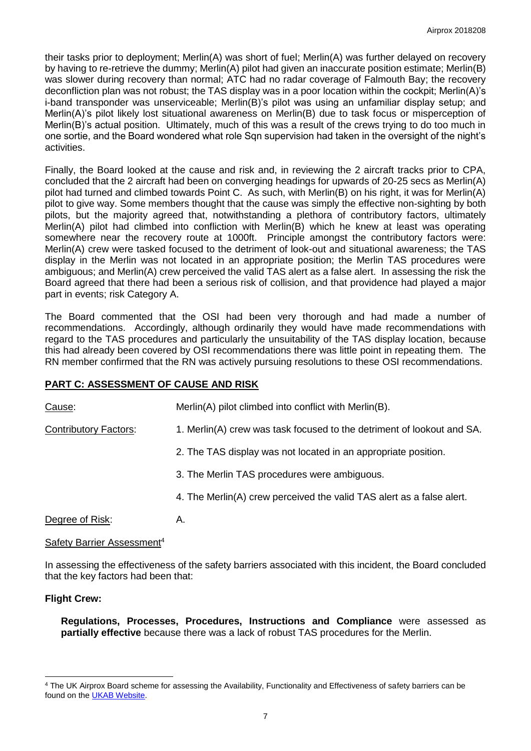their tasks prior to deployment; Merlin(A) was short of fuel; Merlin(A) was further delayed on recovery by having to re-retrieve the dummy; Merlin(A) pilot had given an inaccurate position estimate; Merlin(B) was slower during recovery than normal; ATC had no radar coverage of Falmouth Bay; the recovery deconfliction plan was not robust; the TAS display was in a poor location within the cockpit; Merlin(A)'s i-band transponder was unserviceable; Merlin(B)'s pilot was using an unfamiliar display setup; and Merlin(A)'s pilot likely lost situational awareness on Merlin(B) due to task focus or misperception of Merlin(B)'s actual position. Ultimately, much of this was a result of the crews trying to do too much in one sortie, and the Board wondered what role Sqn supervision had taken in the oversight of the night's activities.

Finally, the Board looked at the cause and risk and, in reviewing the 2 aircraft tracks prior to CPA, concluded that the 2 aircraft had been on converging headings for upwards of 20-25 secs as Merlin(A) pilot had turned and climbed towards Point C. As such, with Merlin(B) on his right, it was for Merlin(A) pilot to give way. Some members thought that the cause was simply the effective non-sighting by both pilots, but the majority agreed that, notwithstanding a plethora of contributory factors, ultimately Merlin(A) pilot had climbed into confliction with Merlin(B) which he knew at least was operating somewhere near the recovery route at 1000ft. Principle amongst the contributory factors were: Merlin(A) crew were tasked focused to the detriment of look-out and situational awareness; the TAS display in the Merlin was not located in an appropriate position; the Merlin TAS procedures were ambiguous; and Merlin(A) crew perceived the valid TAS alert as a false alert. In assessing the risk the Board agreed that there had been a serious risk of collision, and that providence had played a major part in events; risk Category A.

The Board commented that the OSI had been very thorough and had made a number of recommendations. Accordingly, although ordinarily they would have made recommendations with regard to the TAS procedures and particularly the unsuitability of the TAS display location, because this had already been covered by OSI recommendations there was little point in repeating them. The RN member confirmed that the RN was actively pursuing resolutions to these OSI recommendations.

# **PART C: ASSESSMENT OF CAUSE AND RISK**

| Cause:                       | Merlin(A) pilot climbed into conflict with Merlin(B).                  |
|------------------------------|------------------------------------------------------------------------|
| <b>Contributory Factors:</b> | 1. Merlin(A) crew was task focused to the detriment of lookout and SA. |
|                              | 2. The TAS display was not located in an appropriate position.         |
|                              | 3. The Merlin TAS procedures were ambiguous.                           |
|                              | 4. The Merlin(A) crew perceived the valid TAS alert as a false alert.  |
| Degree of Risk:              | Α.                                                                     |

#### Safety Barrier Assessment<sup>4</sup>

In assessing the effectiveness of the safety barriers associated with this incident, the Board concluded that the key factors had been that:

# **Flight Crew:**

 $\overline{\phantom{a}}$ 

**Regulations, Processes, Procedures, Instructions and Compliance** were assessed as **partially effective** because there was a lack of robust TAS procedures for the Merlin.

<sup>4</sup> The UK Airprox Board scheme for assessing the Availability, Functionality and Effectiveness of safety barriers can be found on the **UKAB Website**.